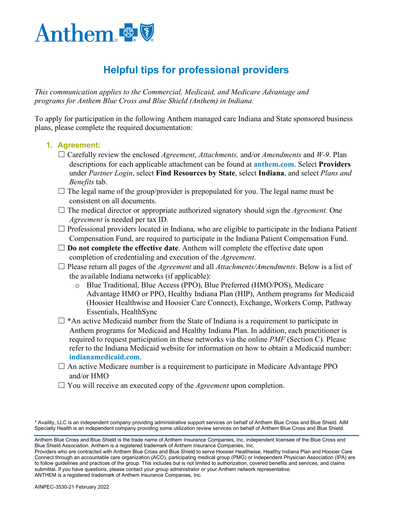

# **Helpful tips for professional providers**

*This communication applies to the Commercial, Medicaid, and Medicare Advantage and programs for Anthem Blue Cross and Blue Shield (Anthem) in Indiana.*

To apply for participation in the following Anthem managed care Indiana and State sponsored business plans, please complete the required documentation:

#### **1. Agreement:**

- ☐ Carefully review the enclosed *Agreement*, *Attachments,* and/or *Amendments* and *W-9*. Plan descriptions for each applicable attachment can be found at **[anthem.com](http://www.anthem.com/)**. Select **Providers** under *Partner Login*, select **Find Resources by State**, select **Indiana**, and select *Plans and Benefits* tab.
- $\Box$  The legal name of the group/provider is prepopulated for you. The legal name must be consistent on all documents.
- ☐ The medical director or appropriate authorized signatory should sign the *Agreement*. One *Agreement* is needed per tax ID.
- $\Box$  Professional providers located in Indiana, who are eligible to participate in the Indiana Patient Compensation Fund, are required to participate in the Indiana Patient Compensation Fund.
- □ **Do not complete the effective date**. Anthem will complete the effective date upon completion of credentialing and execution of the *Agreement*.
- ☐ Please return all pages of the *Agreement* and all *Attachments/Amendments*. Below is a list of the available Indiana networks (if applicable):
	- o Blue Traditional, Blue Access (PPO), Blue Preferred (HMO/POS), Medicare Advantage HMO or PPO, Healthy Indiana Plan (HIP), Anthem programs for Medicaid (Hoosier Healthwise and Hoosier Care Connect), Exchange, Workers Comp, Pathway Essentials, HealthSync
- $\Box$  \*An active Medicaid number from the State of Indiana is a requirement to participate in Anthem programs for Medicaid and Healthy Indiana Plan. In addition, each practitioner is required to request participation in these networks via the online *PMF* (Section C). Please refer to the Indiana Medicaid website for information on how to obtain a Medicaid number: **[indianamedicaid.com](http://www.indianamedicaid.com/)**.
- $\Box$  An active Medicare number is a requirement to participate in Medicare Advantage PPO and/or HMO
- ☐ You will receive an executed copy of the *Agreement* upon completion.

Providers who are contracted with Anthem Blue Cross and Blue Shield to serve Hoosier Healthwise, Healthy Indiana Plan and Hoosier Care Connect through an accountable care organization (ACO), participating medical group (PMG) or Independent Physician Association (IPA) are to follow guidelines and practices of the group. This includes but is not limited to authorization, covered benefits and services, and claims submittal. If you have questions, please contact your group administrator or your Anthem network representative. ANTHEM is a registered trademark of Anthem Insurance Companies, Inc.

<sup>\*</sup> Availity, LLC is an independent company providing administrative support services on behalf of Anthem Blue Cross and Blue Shield. AIM Specialty Health is an independent company providing some utilization review services on behalf of Anthem Blue Cross and Blue Shield.

Anthem Blue Cross and Blue Shield is the trade name of Anthem Insurance Companies, Inc. independent licensee of the Blue Cross and Blue Shield Association. Anthem is a registered trademark of Anthem Insurance Companies, Inc.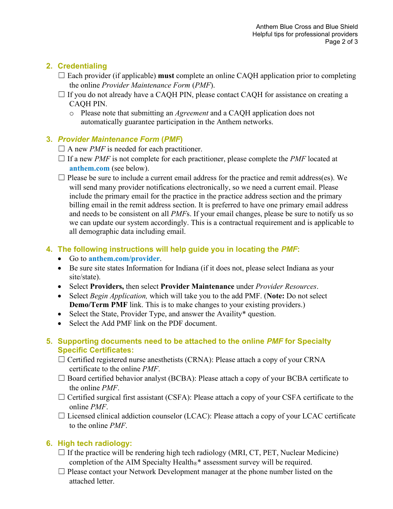#### **2. Credentialing**

- ☐ Each provider (if applicable) **must** complete an online CAQH application prior to completing the online *Provider Maintenance Form* (*PMF*).
- □ If you do not already have a CAQH PIN, please contact CAQH for assistance on creating a CAQH PIN.
	- o Please note that submitting an *Agreement* and a CAQH application does not automatically guarantee participation in the Anthem networks.

## **3.** *Provider Maintenance Form* **(***PMF***)**

- $\Box$  A new *PMF* is needed for each practitioner.
- $\Box$  If a new *PMF* is not complete for each practitioner, please complete the *PMF* located at **[anthem.com](http://www.anthem.com/)** (see below).

 $\Box$  Please be sure to include a current email address for the practice and remit address(es). We will send many provider notifications electronically, so we need a current email. Please include the primary email for the practice in the practice address section and the primary billing email in the remit address section. It is preferred to have one primary email address and needs to be consistent on all *PMF*s. If your email changes, please be sure to notify us so we can update our system accordingly. This is a contractual requirement and is applicable to all demographic data including email.

## **4. The following instructions will help guide you in locating the** *PMF***:**

- Go to **[anthem.com/provider](https://share.antheminc.com/teams/ProviderComm/LWLP%20Templates/www.anthem.com/provider)**.
- Be sure site states Information for Indiana (if it does not, please select Indiana as your site/state).
- Select **Providers,** then select **Provider Maintenance** under *Provider Resources*.
- Select *Begin Application,* which will take you to the add PMF. (**Note:** Do not select **Demo/Term PMF** link. This is to make changes to your existing providers.)
- Select the State, Provider Type, and answer the Availity\* question.
- Select the Add PMF link on the PDF document.
- **5. Supporting documents need to be attached to the online** *PMF* **for Specialty Specific Certificates:**
	- $\Box$  Certified registered nurse anesthetists (CRNA): Please attach a copy of your CRNA certificate to the online *PMF*.
	- $\Box$  Board certified behavior analyst (BCBA): Please attach a copy of your BCBA certificate to the online *PMF*.
	- $\Box$  Certified surgical first assistant (CSFA): Please attach a copy of your CSFA certificate to the online *PMF*.

 $\Box$  Licensed clinical addiction counselor (LCAC): Please attach a copy of your LCAC certificate to the online *PMF*.

## **6. High tech radiology:**

- $\Box$  If the practice will be rendering high tech radiology (MRI, CT, PET, Nuclear Medicine) completion of the AIM Specialty Health<sup>®\*</sup> assessment survey will be required.
- $\Box$  Please contact your Network Development manager at the phone number listed on the attached letter.